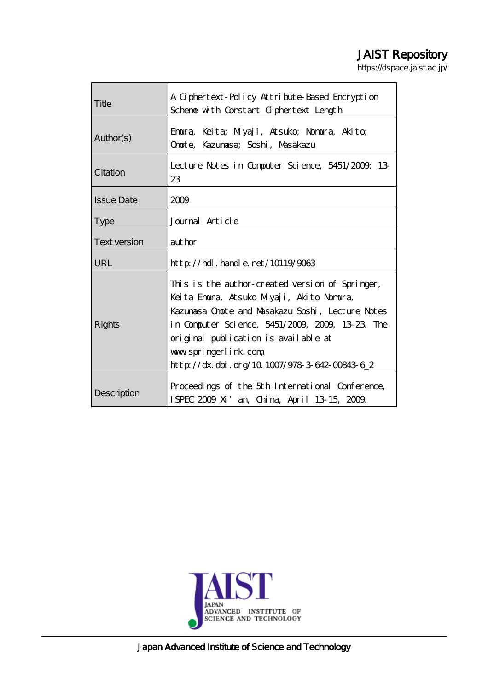# JAIST Repository

https://dspace.jaist.ac.jp/

| Title             | A Giphertext-Policy Attribute-Based Encryption<br>Scheme with Constant Ciphertext Length                                                                                                                                                                                                                               |  |
|-------------------|------------------------------------------------------------------------------------------------------------------------------------------------------------------------------------------------------------------------------------------------------------------------------------------------------------------------|--|
| Author(s)         | Emura, Keita; Milyaji, Atsuko; Nomura, Akito;<br>Onote, Kazunasa; Soshi, Masakazu                                                                                                                                                                                                                                      |  |
| Citation          | Lecture Notes in Computer Science, 5451/2009. 13<br>23                                                                                                                                                                                                                                                                 |  |
| <b>Issue Date</b> | 2009                                                                                                                                                                                                                                                                                                                   |  |
| <b>Type</b>       | Journal Article                                                                                                                                                                                                                                                                                                        |  |
| Text version      | aut hor                                                                                                                                                                                                                                                                                                                |  |
| URL               | $http$ // $hdl$ . handle. net/10119/9063                                                                                                                                                                                                                                                                               |  |
| Rights            | This is the author-created version of Springer,<br>Keita Emura, Atsuko Milyaji, Akito Nomura,<br>Kazunasa Onote and Masakazu Soshi, Lecture Notes<br>in Computer Science, 5451/2009, 2009, 13:23. The<br>original publication is available at<br>www.springerlink.com<br>http://dx.doi.org/10.1007/978-3-642-00843-6_2 |  |
| Description       | Proceedings of the 5th International Conference,<br>ISPEC 2009 Xi' an, China, April 13 15, 2009.                                                                                                                                                                                                                       |  |



Japan Advanced Institute of Science and Technology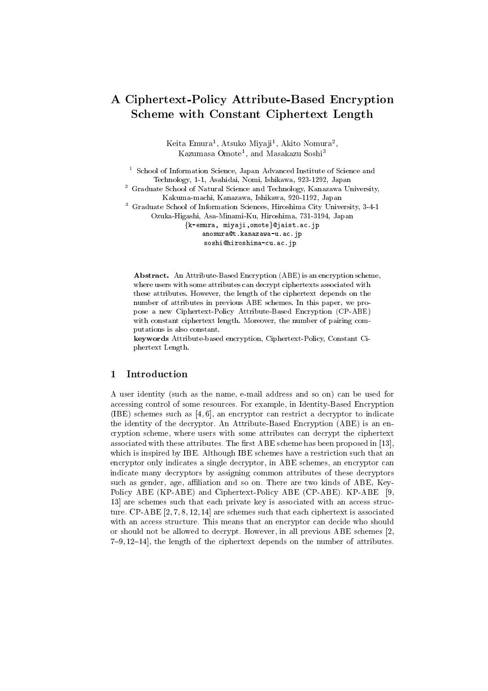## A Ciphertext-Policy Attribute-Based Encryption **Scheme with Constant Ciphertext Length**

Keita Emura<sup>1</sup>, Atsuko Miyaji<sup>1</sup>, Akito Nomura<sup>2</sup>, Kazumasa Omote<sup>1</sup>, and Masakazu Soshi<sup>3</sup>

School of Information Science, Japan Advanced Institute of Science and Technology, 1-1, Asahidai, Nomi, Ishikawa, 923-1292, Japan

<sup>2</sup> Graduate School of Natural Science and Technology, Kanazawa University, Kakuma-machi, Kanazawa, Ishikawa, 920-1192, Japan

<sup>3</sup> Graduate School of Information Sciences, Hiroshima City University, 3-4-1

Ozuka-Higashi, Asa-Minami-Ku, Hiroshima, 731-3194, Japan

{k-emura, miyaji, omote}@jaist.ac.jp

anomura@t.kanazawa-u.ac.jp

soshi@hiroshima-cu.ac.jp

Abstract. An Attribute-Based Encryption (ABE) is an encryption scheme, where users with some attributes can decrypt ciphertexts associated with these attributes. However, the length of the ciphertext depends on the number of attributes in previous ABE schemes. In this paper, we propose a new Ciphertext-Policy Attribute-Based Encryption (CP-ABE) with constant ciphertext length. Moreover, the number of pairing computations is also constant.

keywords Attribute-based encryption, Ciphertext-Policy, Constant Ciphertext Length.

#### 1 Introduction

A user identity (such as the name, e-mail address and so on) can be used for accessing control of some resources. For example, in Identity-Based Encryption (IBE) schemes such as [4, 6], an encryptor can restrict a decryptor to indicate the identity of the decryptor. An Attribute-Based Encryption (ABE) is an encryption scheme, where users with some attributes can decrypt the ciphertext associated with these attributes. The first ABE scheme has been proposed in [13], which is inspired by IBE. Although IBE schemes have a restriction such that an encryptor only indicates a single decryptor, in ABE schemes, an encryptor can indicate many decryptors by assigning common attributes of these decryptors such as gender, age, affiliation and so on. There are two kinds of ABE, Key-Policy ABE (KP-ABE) and Ciphertext-Policy ABE (CP-ABE). KP-ABE [9, 13 are schemes such that each private key is associated with an access structure. CP-ABE  $[2, 7, 8, 12, 14]$  are schemes such that each ciphertext is associated with an access structure. This means that an encryptor can decide who should or should not be allowed to decrypt. However, in all previous ABE schemes [2,  $7-9, 12-14$ , the length of the ciphertext depends on the number of attributes.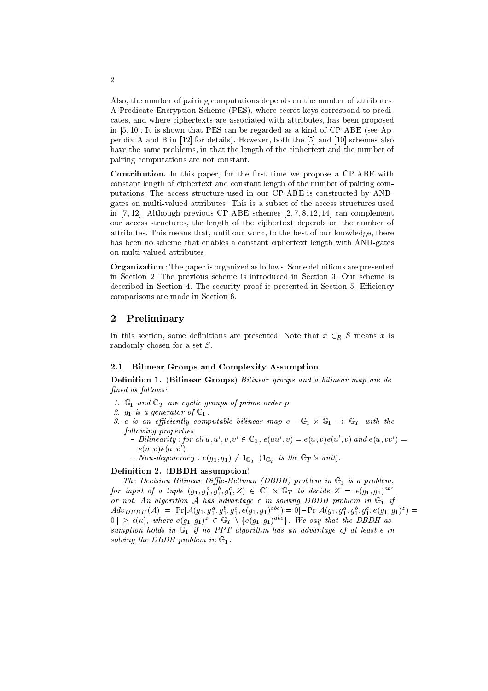Also, the number of pairing computations depends on the number of attributes. A Predicate Encryption Scheme (PES), where secret keys correspond to predicates, and where ciphertexts are associated with attributes, has been proposed in  $[5, 10]$ . It is shown that PES can be regarded as a kind of CP-ABE (see Appendix A and B in [12] for details). However, both the [5] and [10] schemes also have the same problems, in that the length of the ciphertext and the number of pairing computations are not constant.

Contribution. In this paper, for the first time we propose a CP-ABE with constant length of ciphertext and constant length of the number of pairing computations. The access structure used in our CP-ABE is constructed by ANDgates on multi-valued attributes. This is a subset of the access structures used in [7,12]. Although previous CP-ABE schemes  $[2, 7, 8, 12, 14]$  can complement our access structures, the length of the ciphertext depends on the number of attributes. This means that, until our work, to the best of our knowledge, there has been no scheme that enables a constant ciphertext length with AND-gates on multi-valued attributes.

**Organization**: The paper is organized as follows: Some definitions are presented in Section 2. The previous scheme is introduced in Section 3. Our scheme is described in Section 4. The security proof is presented in Section 5. Efficiency comparisons are made in Section 6.

#### $\overline{2}$ Preliminary

In this section, some definitions are presented. Note that  $x \in_R S$  means x is randomly chosen for a set  $S$ .

### 2.1 Bilinear Groups and Complexity Assumption

**Definition 1.** (Bilinear Groups) Bilinear groups and a bilinear map are defined as follows:

- 1.  $\mathbb{G}_1$  and  $\mathbb{G}_T$  are cyclic groups of prime order p.
- 2  $g_1$  is a generator of  $\mathbb{G}_1$ .
- 3. e is an efficiently computable bilinear map  $e : \mathbb{G}_1 \times \mathbb{G}_1 \to \mathbb{G}_T$  with the following properties.
	- Bilinearity: for all  $u, u', v, v' \in \mathbb{G}$ ,  $e(uu', v) = e(u, v)e(u', v)$  and  $e(u, vv') =$  $e(u, v)e(u, v').$
	- Non-degeneracy :  $e(g_1, g_1) \neq 1_{\mathbb{G}_T}$  ( $1_{\mathbb{G}_T}$  is the  $\mathbb{G}_T$ 's unit).

### Definition 2. (DBDH assumption)

The Decision Bilinear Diffie-Hellman (DBDH) problem in  $\mathbb{G}_1$  is a problem, for input of a tuple  $(g_1, g_1^a, g_1^b, g_1^c, Z) \in \mathbb{G}_1^4 \times \mathbb{G}_T$  to decide  $Z = e(g_1, g_1)^{abc}$ or not. An algorithm A has advantage  $\epsilon$  in solving DBDH problem in  $\mathbb{G}_1$  if  $Adv_{DBDH}(A) := |\Pr[\mathcal{A}(g_1, g_1^a, g_1^b, g_1^c, e(g_1, g_1)^{abc}) = 0] - \Pr[\mathcal{A}(g_1, g_1^a, g_1^b, g_1^c, e(g_1, g_1)^{z}) =$  $|0\rangle \geq \epsilon(\kappa)$ , where  $e(g_1, g_1)^z \in \mathbb{G}_T \setminus \{e(g_1, g_1)^{abc}\}\.$  We say that the DBDH assumption holds in  $\mathbb{G}_1$  if no PPT algorithm has an advantage of at least  $\epsilon$  in solving the DBDH problem in  $\mathbb{G}_1$ .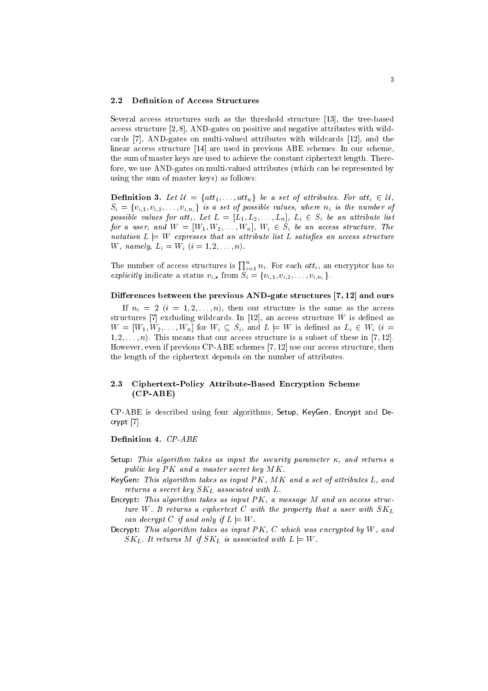#### $2.2$ **Definition of Access Structures**

Several access structures such as the threshold structure [13], the tree-based access structure  $[2, 8]$ , AND-gates on positive and negative attributes with wildcards [7], AND-gates on multi-valued attributes with wildcards [12], and the linear access structure [14] are used in previous ABE schemes. In our scheme, the sum of master keys are used to achieve the constant ciphertext length. Therefore, we use AND-gates on multi-valued attributes (which can be represented by using the sum of master keys) as follows:

**Definition 3.** Let  $\mathcal{U} = \{att_1, \ldots, att_n\}$  be a set of attributes. For att<sub>i</sub>  $\in \mathcal{U}$ ,  $S_i = \{v_{i,1}, v_{i,2}, \ldots, v_{i,n_i}\}\$  is a set of possible values, where  $n_i$  is the number of possible values for att<sub>i</sub>. Let  $L = [L_1, L_2, \ldots, L_n]$ ,  $L_i \in S_i$  be an attribute list for a user, and  $W = [W_1, W_2, \ldots, W_n], W_i \in S_i$  be an access structure. The notation  $L \models W$  expresses that an attribute list L satisfies an access structure W, namely,  $L_i = W_i$   $(i = 1, 2, ..., n)$ .

The number of access structures is  $\prod_{i=1}^{n} n_i$ . For each *att<sub>i</sub>*, an encryptor has to explicitly indicate a status  $v_{i,*}$  from  $S_i = \{v_{i,1}, v_{i,2}, \ldots, v_{i,n_i}\}.$ 

### Differences between the previous AND-gate structures [7, 12] and ours

If  $n_i = 2$   $(i = 1, 2, ..., n)$ , then our structure is the same as the access structures [7] excluding wildcards. In [12], an access structure  $W$  is defined as  $W = [W_1, W_2, \ldots, W_n]$  for  $W_i \subseteq S_i$ , and  $L \models W$  is defined as  $L_i \in W_i$  (i =  $1, 2, \ldots, n$ ). This means that our access structure is a subset of these in [7, 12]. However, even if previous CP-ABE schemes [7, 12] use our access structure, then the length of the ciphertext depends on the number of attributes.

#### 2.3 Ciphertext-Policy Attribute-Based Encryption Scheme  $(CP-ABE)$

CP-ABE is described using four algorithms, Setup, KeyGen, Encrypt and Decrypt [7].

### Definition 4. CP-ABE

- Setup: This algorithm takes as input the security parameter  $\kappa$ , and returns a public key PK and a master secret key MK.
- KeyGen: This algorithm takes as input PK, MK and a set of attributes L, and returns a secret key  $SK_L$  associated with  $L$ .
- Encrypt: This algorithm takes as input  $PK$ , a message  $M$  and an access structure W. It returns a ciphertext C with the property that a user with  $SK_L$ can decrypt C if and only if  $L \models W$ .
- Decrypt: This algorithm takes as input  $PK$ ,  $C$  which was encrypted by  $W$ , and  $SK_L$ . It returns M if  $SK_L$  is associated with  $L \models W$ .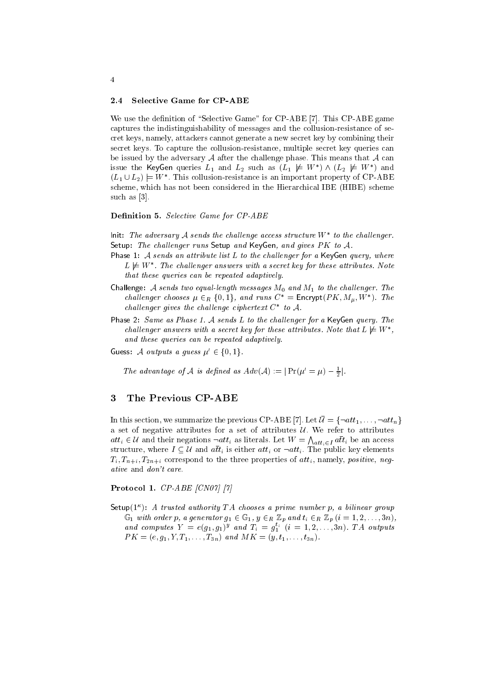#### $2.4$ **Selective Game for CP-ABE**

We use the definition of "Selective Game" for CP-ABE [7]. This CP-ABE game captures the indistinguishability of messages and the collusion-resistance of secret keys, namely, attackers cannot generate a new secret key by combining their secret keys. To capture the collusion-resistance, multiple secret key queries can be issued by the adversary  $A$  after the challenge phase. This means that  $A$  can issue the KeyGen queries  $L_1$  and  $L_2$  such as  $(L_1 \not\models W^*) \wedge (L_2 \not\models W^*)$  and  $(L_1 \cup L_2) \models W^*$ . This collusion-resistance is an important property of CP-ABE scheme, which has not been considered in the Hierarchical IBE (HIBE) scheme such as [3].

### **Definition 5.** Selective Game for CP-ABE

lnit: The adversary A sends the challenge access structure  $W^*$  to the challenger. Setup: The challenger runs Setup and KeyGen, and gives  $PK$  to  $A$ .

- Phase 1: A sends an attribute list  $L$  to the challenger for a KeyGen query, where  $L \not\models W^*$ . The challenger answers with a secret key for these attributes. Note that these queries can be repeated adaptively.
- Challenge: A sends two equal-length messages  $M_0$  and  $M_1$  to the challenger. The challenger chooses  $\mu \in_R \{0,1\}$ , and runs  $C^* =$  Encrypt $(PK, M_{\mu}, W^*)$ . The challenger gives the challenge ciphertext  $C^*$  to A.
- Phase 2: Same as Phase 1. A sends L to the challenger for a KeyGen guery. The challenger answers with a secret key for these attributes. Note that  $L \not\models W^*$ , and these queries can be repeated adaptively.
- Guess: A outputs a guess  $\mu' \in \{0, 1\}$ .

The advantage of A is defined as  $Adv(A) := | Pr(\mu' = \mu) - \frac{1}{2}|$ .

#### The Previous CP-ABE 3

In this section, we summarize the previous CP-ABE [7]. Let  $\bar{U} = \{\neg att_1, \dots, \neg att_n\}$ a set of negative attributes for a set of attributes  $U$ . We refer to attributes  $att_i \in \mathcal{U}$  and their negations  $\neg att_i$  as literals. Let  $W = \bigwedge_{att_i \in I} a\overline{t}t_i$  be an access structure, where  $I \subseteq \mathcal{U}$  and  $a\overline{t}t_i$  is either  $att_i$  or  $\neg att_i$ . The public key elements  $T_i, T_{n+i}, T_{2n+i}$  correspond to the three properties of  $att_i$ , namely, *positive*, *negative* and *don't* care.

### Protocol 1.  $CP-ABE$  [CN07] [7]

Setup( $1^{\kappa}$ ): A trusted authority TA chooses a prime number p, a bilinear group  $\mathbb{G}_1$  with order p, a generator  $g_1 \in \mathbb{G}_1$ ,  $y \in_R \mathbb{Z}_p$  and  $t_i \in_R \mathbb{Z}_p$   $(i = 1, 2, ..., 3n)$ , and computes  $Y = e(g_1, g_1)^y$  and  $T_i = g_1^{t_i}$   $(i = 1, 2, ..., 3n)$ . TA outputs  $PK = (e, g_1, Y, T_1, \ldots, T_{3n})$  and  $MK = (y, t_1, \ldots, t_{3n}).$ 

### $\overline{4}$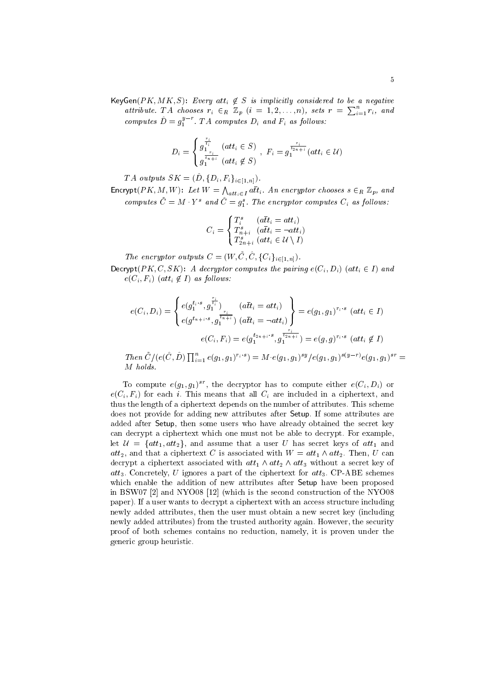KeyGen(PK, MK, S): Every att<sub>i</sub>  $\notin S$  is implicitly considered to be a negative attribute. TA chooses  $r_i \in_R \mathbb{Z}_p$   $(i = 1, 2, ..., n)$ , sets  $r = \sum_{i=1}^n r_i$ , and computes  $\hat{D} = q_1^{y-r}$ . TA computes  $D_i$  and  $F_i$  as follows:

$$
D_i = \begin{cases} g_{1}^{\frac{r_i}{t_i}} & (att_i \in S) \\ g_{1}^{\frac{r_i}{t_{n+i}}} & (att_i \notin S) \end{cases}, \ F_i = g_{1}^{\frac{r_i}{t_{2n+i}}} (att_i \in U)
$$

TA outputs  $SK = (\hat{D}, \{D_i, F_i\}_{i \in [1,n]})$ .

Encrypt  $(PK, M, W)$ : Let  $W = \bigwedge_{att_i \in I} a\overline{t}t_i$ . An encryptor chooses  $s \in_R \mathbb{Z}_p$ , and computes  $\tilde{C} = M \cdot Y^s$  and  $\hat{C} = g_1^s$ . The encryptor computes  $C_i$  as follows:

$$
C_i = \begin{cases} T_i^s & (a\overline{t}t_i = att_i) \\ T_{n+i}^s & (a\overline{t}t_i = \neg att_i) \\ T_{2n+i}^s & (att_i \in \mathcal{U} \setminus I) \end{cases}
$$

The encryptor outputs  $C = (W, \tilde{C}, \hat{C}, \{C_i\}_{i \in [1,n]})$ .

Decrypt  $(PK, C, SK)$ : A decryptor computes the pairing  $e(C_i, D_i)$  (att<sub>i</sub>  $\in I$ ) and  $e(C_i, F_i)$  (att<sub>i</sub>  $\not\in I$ ) as follows:

$$
e(C_i, D_i) = \begin{cases} e(g_1^{t_i \cdot s}, g_1^{\frac{r_i}{t_i}}) & (a\bar{t}t_i = att_i) \\ e(g^{t_{n+i} \cdot s}, g_1^{\frac{r_i}{t_{n+i}}}) & (a\bar{t}t_i = \neg att_i) \end{cases} = e(g_1, g_1)^{r_i \cdot s} \ (att_i \in I)
$$
\n
$$
e(C_i, F_i) = e(g_1^{t_{2n+i} \cdot s}, g_1^{\frac{r_i}{t_{2n+i}}}) = e(g, g)^{r_i \cdot s} \ (att_i \notin I)
$$

Then  $\tilde{C}/(e(\hat{C}, \hat{D}) \prod_{i=1}^n e(g_1, g_1)^{r_i \cdot s}) = M \cdot e(g_1, g_1)^{sy}/e(g_1, g_1)^{s(y-r)}e(g_1, g_1)^{sr}$  $M$  holds.

To compute  $e(g_1, g_1)^{sr}$ , the decryptor has to compute either  $e(C_i, D_i)$  or  $e(C_i, F_i)$  for each i. This means that all  $C_i$  are included in a ciphertext, and thus the length of a ciphertext depends on the number of attributes. This scheme does not provide for adding new attributes after Setup. If some attributes are added after Setup, then some users who have already obtained the secret key can decrypt a ciphertext which one must not be able to decrypt. For example, let  $\mathcal{U} = \{att_1, att_2\}$ , and assume that a user U has secret keys of  $att_1$  and  $att_2$ , and that a ciphertext C is associated with  $W = att_1 \wedge att_2$ . Then, U can decrypt a ciphertext associated with  $att_1 \wedge att_2 \wedge att_3$  without a secret key of  $att_3$ . Concretely, U ignores a part of the ciphertext for  $att_3$ . CP-ABE schemes which enable the addition of new attributes after Setup have been proposed in BSW07 [2] and NYO08 [12] (which is the second construction of the NYO08 paper). If a user wants to decrypt a ciphertext with an access structure including newly added attributes, then the user must obtain a new secret key (including newly added attributes) from the trusted authority again. However, the security proof of both schemes contains no reduction, namely, it is proven under the generic group heuristic.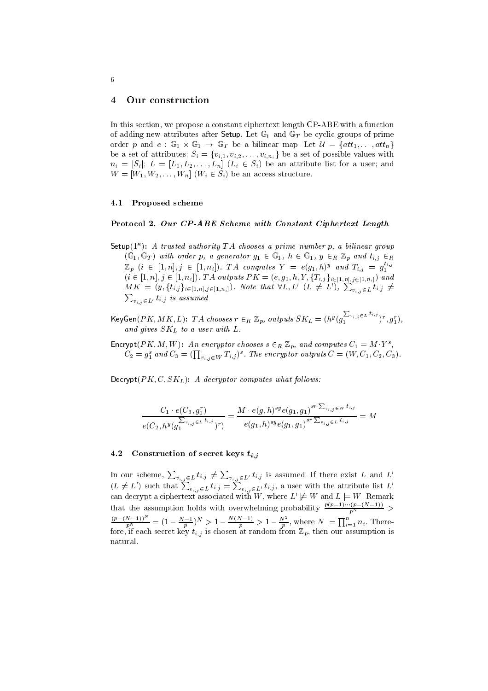#### 4 Our construction

In this section, we propose a constant ciphertext length CP-ABE with a function of adding new attributes after Setup. Let  $\mathbb{G}_1$  and  $\mathbb{G}_T$  be cyclic groups of prime order p and  $e : \mathbb{G}_1 \times \mathbb{G}_1 \to \mathbb{G}_T$  be a bilinear map. Let  $\mathcal{U} = \{att_1, \ldots, att_n\}$ be a set of attributes;  $S_i = \{v_{i,1}, v_{i,2}, \ldots, v_{i,n_i}\}$  be a set of possible values with  $n_i = |S_i|$ ;  $L = [L_1, L_2, \ldots, L_n]$   $(L_i \in S_i)$  be an attribute list for a user; and  $W = [W_1, W_2, \dots, W_n]$   $(W_i \in S_i)$  be an access structure.

### 4.1 Proposed scheme

### Protocol 2. Our CP-ABE Scheme with Constant Ciphertext Length

Setup( $1^{\kappa}$ ): A trusted authority TA chooses a prime number p, a bilinear group  $(\mathbb{G}_1, \mathbb{G}_T)$  with order p, a generator  $g_1 \in \mathbb{G}_1$ ,  $h \in \mathbb{G}_1$ ,  $y \in_R \mathbb{Z}_p$  and  $t_{i,j} \in_R$  $\mathbb{Z}_p$   $(i \in [1, n], j \in [1, n_i])$ . TA computes  $Y = e(g_1, h)^y$  and  $T_{i,j} = g_1^{t_{i,j}}$  $(i \in [1, n], j \in [1, n_i])$ . TA outputs  $PK = (e, g_1, h, Y, \{T_{i,j}\}_{i \in [1, n], j \in [1, n_i]})$  and  $MK = (y, \{t_{i,j}\}_{i \in [1,n], j \in [1,n_i]})$ . Note that  $\forall L, L'$   $(L \neq L')$ ,  $\sum_{v_{i,j} \in L} t_{i,j} \neq$  $\sum_{v_i,j\in L'} t_{i,j}$  is assumed

 $\mathsf{KeyGen}(PK, MK, L): \;TA \; chooses \; r \in_R \; \mathbb{Z}_p, \; outputs \; SK_L = (h^y(g_1^{\sum_{v_{i,j} \in L} t_{i,j}})^r, g_1^r),$ and gives  $SK_L$  to a user with L.

Encrypt  $(PK, M, W)$ : An encryptor chooses  $s \in_R \mathbb{Z}_p$ , and computes  $C_1 = M \cdot Y^s$ ,  $C_2 = g_1^s$  and  $C_3 = (\prod_{v_i, v \in W} T_{i,j})^s$ . The encryptor outputs  $C = (W, C_1, C_2, C_3)$ .

Decrypt  $(PK, C, SK_L)$ : A decryptor computes what follows:

$$
\frac{C_1 \cdot e(C_3, g_1^r)}{e(C_2, h^y(g_1^{\sum_{v_{i,j}} \in L} t_{i,j})^r)} = \frac{M \cdot e(g, h)^{sy} e(g_1, g_1)^{sr \sum_{v_{i,j} \in W} t_{i,j}}}{e(g_1, h)^{sy} e(g_1, g_1)^{sr \sum_{v_{i,j} \in L} t_{i,j}}} = M
$$

#### Construction of secret keys  $t_{i,j}$ 4.2

In our scheme,  $\sum_{v_{i,j} \in L} t_{i,j} \neq \sum_{v_{i,j} \in L'} t_{i,j}$  is assumed. If there exist L and L'  $(L \neq L')$  such that  $\sum_{v_{i,j} \in L} t_{i,j} = \sum_{v_{i,j} \in L'} t_{i,j}$ , a user with the attribute list  $L'$  can decrypt a ciphertext associated with W, where  $L' \not\models W$  and  $L \models W$ . Remark that the assumption holds with overwhelming probability  $\frac{p(p-1)\cdots(p-(N-1))}{n^N}$  $\frac{(p-(N-1))^N}{p^N} = (1-\frac{N-1}{p})^N > 1-\frac{N(N-1)}{p} > 1-\frac{N^2}{p}$ , where  $N := \prod_{i=1}^n n_i$ . Therefore, if each secret key  $t_{i,j}$  is chosen at random from  $\mathbb{Z}_p$ , then our assumption is natural.

6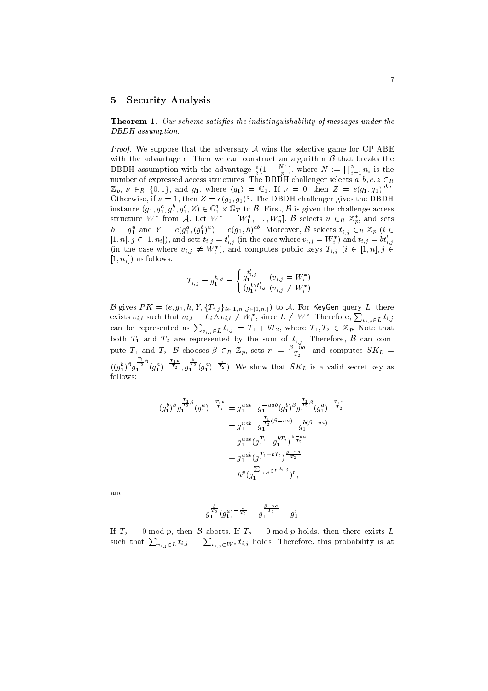#### 5 **Security Analysis**

**Theorem 1.** Our scheme satisfies the indistinguishability of messages under the DBDH assumption.

*Proof.* We suppose that the adversary  $A$  wins the selective game for CP-ABE with the advantage  $\epsilon$ . Then we can construct an algorithm  $\beta$  that breaks the DBDH assumption with the advantage  $\frac{\epsilon}{2}(1-\frac{N^2}{p})$ , where  $N := \prod_{i=1}^n n_i$  is the number of expressed access structures. The DBDH challenger selects  $a, b, c, z \in_R$  $\mathbb{Z}_p$ ,  $\nu \in_R \{0,1\}$ , and  $g_1$ , where  $\langle g_1 \rangle = \mathbb{G}_1$ . If  $\nu = 0$ , then  $Z = e(g_1, g_1)^{abc}$ . Otherwise, if  $\nu = 1$ , then  $Z = e(g_1, g_1)^z$ . The DBDH challenger gives the DBDH instance  $(g_1, g_1^a, g_1^b, g_1^c, Z) \in \mathbb{G}_1^4 \times \mathbb{G}_T$  to  $\mathcal{B}$ . First,  $\mathcal{B}$  is given the challenge access structure  $W^*$  from A. Let  $W^* = [W_1^*, \ldots, W_n^*]$ . B selects  $u \in_R \mathbb{Z}_p^*$ , and sets  $h = g_1^u$  and  $Y = e(g_1^a, (g_1^b)^u) = e(g_1, h)^{ab}$ . Moreover,  $\beta$  selects  $t'_{i,j} \in_R \mathbb{Z}_p$  ( $i \in_R \mathbb{Z}_p$ ) [1, n],  $j \in [1, n_i]$ , and sets  $t_{i,j} = t'_{i,j}$  (in the case where  $v_{i,j} = W_i^*$ ) and  $t_{i,j} = bt'_{i,j}$ <br>(in the case where  $v_{i,j} \neq W_i^*$ ), and computes public keys  $T_{i,j}$  ( $i \in [1, n]$ ,  $j \in$  $[1, n_i]$  as follows:

$$
T_{i,j}=g_1^{t_{i,j}}=\begin{cases}g_1^{t'_{i,j}} & (v_{i,j}=W_i^*)\\ (g_1^b)^{t'_{i,j}} & (v_{i,j}\neq W_i^*)\end{cases}
$$

B gives  $PK = (e, g_1, h, Y, \{T_{i,j}\}_{i \in [1,n], j \in [1,n_i]})$  to A. For KeyGen query L, there exists  $v_{i,\ell}$  such that  $v_{i,\ell} = L_i \wedge v_{i,\ell} \neq W_i^*$ , since  $L \not\models W^*$ . Therefore,  $\sum_{v_{i,j} \in L} t_{i,j}$ can be represented as  $\sum_{v_{i,j}\in L} t_{i,j} = T_1 + bT_2$ , where  $T_1, T_2 \in \mathbb{Z}_p$ . Note that both  $T_1$  and  $T_2$  are represented by the sum of  $t'_{i,j}$ . Therefore,  $\beta$  can compute  $T_1$  and  $T_2$ .  $\beta$  chooses  $\beta \in_R \mathbb{Z}_p$ , sets  $r := \frac{\beta - u_a}{T_2}$ , and computes  $SK_L$  $((g_1^b){}^{\beta}g_1^{\frac{T_1}{T_2}\beta}(g_1^a)^{-\frac{T_1u}{T_2}},g_1^{\frac{\beta}{T_2}}(g_1^a)^{-\frac{u}{T_2}}).$  We show that  $SK_L$  is a valid secret key as follows:

$$
\begin{aligned} (g_1^b)^\beta g_1^{\frac{T_1}{T_2}\beta}(g_1^a)^{-\frac{T_1u}{T_2}} &= g_1^{uab}\cdot g_1^{-uab}(g_1^b)^\beta g_1^{\frac{T_1}{T_2}\beta}(g_1^a)^{-\frac{T_1u}{T_2}}\\ &= g_1^{uab}\cdot g_1^{\frac{T_1}{T_2}(\beta - ua)}\cdot g_1^{b(\beta - ua)}\\ &= g_1^{uab}(g_1^{T_1}\cdot g_1^{bT_2})^{\frac{\beta - ua}{T_2}}\\ &= g_1^{uab}(g_1^{T_1+bT_2})^{\frac{\beta - ua}{T_2}}\\ &= h^y(g_1^{\sum v_{i,j}\in L}t_{i,j})^r, \end{aligned}
$$

and

$$
g_1^{\frac{\beta}{T_2}}(g_1^a)^{-\frac{u}{T_2}}=g_1^{\frac{\beta-u a}{T_2}}=g_1^r
$$

If  $T_2 = 0$  mod p, then B aborts. If  $T_2 = 0$  mod p holds, then there exists L such that  $\sum_{v_{i,j}\in L} t_{i,j} = \sum_{v_{i,j}\in W^*} t_{i,j}$  holds. Therefore, this probability is at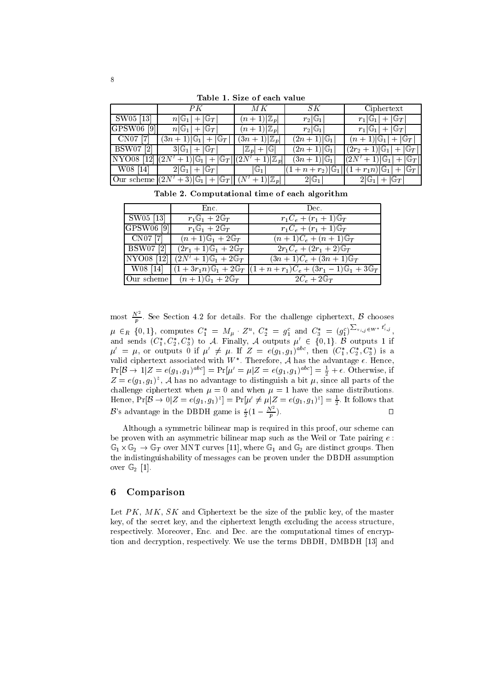$PK$  $M\,K$  $\mathcal{S}K$ Ciphertext SW05 [13  $n \mathbb{G}$ <sub>1</sub>  $+$  G $_T$  $(n)$  $+1)|\mathbb{Z}$  $r_2|\mathbb{G}_1$  $r_1$  $|\mathbb{G}_1|+|\mathbb{G}_T|$ GPSW06 [9  $\mathbb{G}_1$  $\qquad \qquad +$  $\mathbb{G}_T$  $\overline{(n+1)}\mathbb{Z}_p$  $r_2|\mathbb{G}_1$  $r_1|\mathbb{G}_1|$  $+$  |  $\mathbb{G}_T$  $\boldsymbol{n}$ CN07 [7]  $\overline{(3n+1)\vert\mathbb{Z}_p}$  $+|G_T$  $(2n+1)|\mathbb{G}_1$  $(n+1)|\mathbb{G}_1$  $(3n+1)$  $|\mathbb{G}_1$  $+$   $(x -$ **BSW07** [2]  $3|G_1|$  $|\mathbb{Z}_n|+|\mathbb{G}$  $(2n+1)|\mathbb{G}_1|$  $+1)|\mathbb{G}_1|$  $+$  G $_T$  $(2r<sub>2</sub>)$  $+$  $\overline{\mathbb{G}}_1$  l  $\overline{(3n+1)|\mathbb{G}_1}$  $(2N'+1)|\mathbb{G}_1|$ NYO08 [12]  $\sqrt{2N'+1}$  $\overline{+}\,|\mathbb{G}_T$  $\overline{(2N^{\prime })}$  $+1$  $\mathbb{Z}$ W08 [14]  $2|\mathbb{G}_1|+|\mathbb{G}_T$  $\mathbb{G}_1$  $(1 + n + r_2)$ |G<sub>1</sub>  $+r_1n$ )  $\mathbb{G}_1$  $\mathbb{G}_7$  $(1)$  $\overline{+}$ Our scheme  $(2N'+3)|\mathbb{G}_1|+|\mathbb{G}_T||N'$  $2|\mathbb{G}_1|$  $2|\mathbb{G}_1|+|\mathbb{G}_T$  $+1)|\mathbb{Z}$ 

Table 1. Size of each value

Table 2. Computational time of each algorithm

|                       | Enc.                                                               | Dec.                                                                                                                        |
|-----------------------|--------------------------------------------------------------------|-----------------------------------------------------------------------------------------------------------------------------|
| SW05 [13]             | $r_1\mathbb{G}_1+2\mathbb{G}_T$                                    | $r_1C_e + (r_1 + 1)\mathbb{G}_T$                                                                                            |
| GPSW06 <sup>[9]</sup> | $r_1\mathbb{G}_1+2\mathbb{G}_T$                                    | $r_1C_e + (r_1 + 1)\mathbb{G}_T$                                                                                            |
| - CN07 [7]            | $(n+1)\mathbb{G}_1+2\mathbb{G}_T$                                  | $(n+1)C_e + (n+1)\mathbb{G}_T$                                                                                              |
|                       | BSW07 [2] $ (2r_1+1)\mathbb{G}_1 + 2\mathbb{G}_T$                  | $2r_1C_e + (2r_1 + 2)\mathbb{G}_T$                                                                                          |
| NY 008 [12]           | $(2N' + 1)\mathbb{G}_1 + 2\mathbb{G}_T$                            | $(3n+1)C_e + (3n+1)\mathbb{G}_T$                                                                                            |
|                       |                                                                    | W08 [14] $\left[ (1 + 3r_1n)\mathbb{G}_1 + 2\mathbb{G}_T \right] (1 + n + r_1)C_e + (3r_1 - 1)\mathbb{G}_1 + 3\mathbb{G}_T$ |
|                       | $\overline{\text{Our scheme}}$ $(n+1)\mathbb{G}_1 + 2\mathbb{G}_T$ | $2C_e + 2\mathbb{G}_T$                                                                                                      |

most  $\frac{N^2}{p}$ . See Section 4.2 for details. For the challenge ciphertext,  $\beta$  chooses  $\mu \in_R \{0,1\}$ , computes  $C_1^* = M_{\mu} \cdot Z^u$ ,  $C_2^* = g_1^c$  and  $C_3^* = (g_1^c)^{\sum_{v_{i,j}} \in W^*} t'_{i,j}$ ,<br>and sends  $(C_1^*, C_2^*, C_3^*)$  to A. Finally, A outputs  $\mu' \in \{0,1\}$ . B outputs 1 if<br> $\mu' = \mu$ , or outputs 0 if  $\mu' \neq \mu$ . valid ciphertext associated with  $W^*$ . Therefore, A has the advantage  $\epsilon$ . Hence,  $Pr[\beta \to 1 | Z = e(g_1, g_1)^{abc}] = Pr[\mu' = \mu | Z = e(g_1, g_1)^{abc}] = \frac{1}{2} + \epsilon.$  Otherwise, if  $Z = e(g_1, g_1)^z$ , A has no advantage to distinguish a bit  $\mu$ , since all parts of the challenge ciphertext when  $\mu = 0$  and when  $\mu = 1$  have the same distributions. Hence,  $\Pr[B \to 0 | Z = e(g_1, g_1)^z] = \Pr[\mu' \neq \mu | Z = e(g_1, g_1)^z] = \frac{1}{2}$ . It follows that <br>B's advantage in the DBDH game is  $\frac{\epsilon}{2}(1 - \frac{N^2}{p})$ .  $\Box$ 

Although a symmetric bilinear map is required in this proof, our scheme can be proven with an asymmetric bilinear map such as the Weil or Tate pairing  $e$ :  $\mathbb{G}_1 \times \mathbb{G}_2 \to \mathbb{G}_T$  over MNT curves [11], where  $\mathbb{G}_1$  and  $\mathbb{G}_2$  are distinct groups. Then the indistinguishability of messages can be proven under the DBDH assumption over  $\mathbb{G}_2$  [1].

#### Comparison 6

Let  $PK$ ,  $MK$ ,  $SK$  and Ciphertext be the size of the public key, of the master key, of the secret key, and the ciphertext length excluding the access structure, respectively. Moreover, Enc. and Dec. are the computational times of encryption and decryption, respectively. We use the terms DBDH, DMBDH [13] and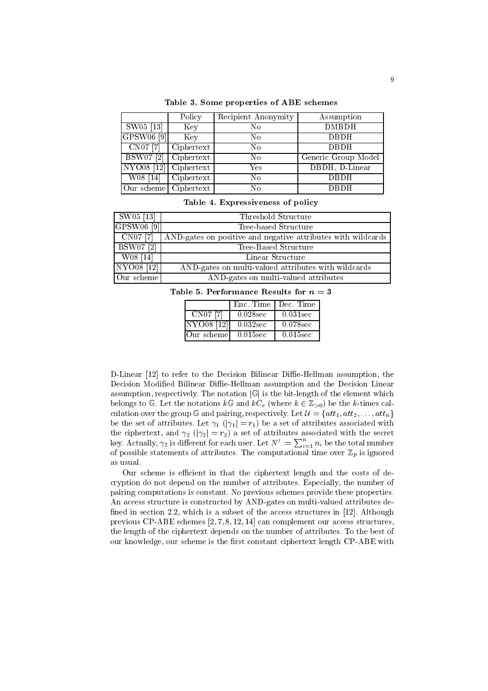|                                  | Policy     | Recipient Anonymity | Assumption          |
|----------------------------------|------------|---------------------|---------------------|
| $\overline{\rm SW05}$ [13]       | Key        | No                  | <b>DMBDH</b>        |
| GPSW06 <sup>[9]</sup>            | Key        | No                  | <b>DBDH</b>         |
| $CNO7$ <sup>[7]</sup>            | Ciphertext | No                  | <b>DBDH</b>         |
| $\overline{\mathrm{BSW}}$ 07 [2] | Ciphertext | No                  | Generic Group Model |
| $\overline{\text{NYO08}}$ [12]   | Ciphertext | Yes                 | DBDH, D-Linear      |
| W08 [14]                         | Ciphertext | No                  | <b>DBDH</b>         |
| Our scheme   Ciphertext          |            | No                  | <b>DBDH</b>         |

Table 3. Some properties of ABE schemes

|  |  |  | Table 4. Expressiveness of policy |  |  |  |
|--|--|--|-----------------------------------|--|--|--|
|--|--|--|-----------------------------------|--|--|--|

| $ $ SW05 [13]         | Threshold Structure                                          |
|-----------------------|--------------------------------------------------------------|
| GPSW06 <sup>[9]</sup> | Tree-based Structure                                         |
| $\left $ CN07 [7]     | AND-gates on positive and negative attributes with wildcards |
| <b>BSW07</b> [2]      | Tree-Based Structure                                         |
| W08 [14]              | Linear Structure                                             |
| NYO08 [12]            | AND-gates on multi-valued attributes with wildcards          |
| Our scheme            | AND-gates on multi-valued attributes                         |

Table 5. Performance Results for  $n=3$ 

|              | Enc. Time I | Dec. Time   |
|--------------|-------------|-------------|
| CN07 [7]     | $0.028$ sec | $0.031$ sec |
| NYO08 [12]   | $0.032$ sec | 0.078sec    |
| !Our scheme! | $0.015$ sec | $0.015$ sec |

D-Linear [12] to refer to the Decision Bilinear Diffie-Hellman assumption, the Decision Modified Bilinear Diffie-Hellman assumption and the Decision Linear assumption, respectively. The notation  $|\mathbb{G}|$  is the bit-length of the element which belongs to G. Let the notations  $k\mathbb{G}$  and  $kC_e$  (where  $k \in \mathbb{Z}_{>0}$ ) be the k-times calculation over the group G and pairing, respectively. Let  $\mathcal{U} = \{att_1, att_2, ..., att_n\}$ be the set of attributes. Let  $\gamma_1$  ( $|\gamma_1|=r_1$ ) be a set of attributes associated with the ciphertext, and  $\gamma_2$  ( $|\gamma_2| = r_2$ ) a set of attributes associated with the secret<br>key. Actually,  $\gamma_2$  is different for each user. Let  $N' := \sum_{i=1}^n n_i$  be the total number of possible statements of attributes. The computational time over  $\mathbb{Z}_p$  is ignored as usual.

Our scheme is efficient in that the ciphertext length and the costs of decryption do not depend on the number of attributes. Especially, the number of pairing computations is constant. No previous schemes provide these properties. An access structure is constructed by AND-gates on multi-valued attributes defined in section 2.2, which is a subset of the access structures in [12]. Although previous CP-ABE schemes  $[2, 7, 8, 12, 14]$  can complement our access structures, the length of the ciphertext depends on the number of attributes. To the best of our knowledge, our scheme is the first constant ciphertext length CP-ABE with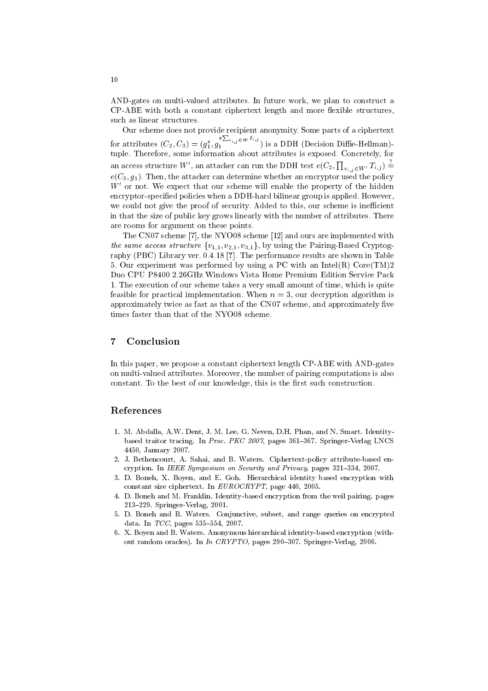AND-gates on multi-valued attributes. In future work, we plan to construct a CP-ABE with both a constant ciphertext length and more flexible structures, such as linear structures.

Our scheme does not provide recipient anonymity. Some parts of a ciphertext for attributes  $(C_2, C_3) = (g_1^s, g_1^{s \sum_{v_{i,j} \in W} t_{i,j}})$  is a DDH (Decision Diffie-Hellman)tuple. Therefore, some information about attributes is exposed. Concretely, for an access structure W', an attacker can run the DDH test  $e(C_2, \prod_{v_i, v \in W'} T_{i,j}) \stackrel{\sim}{=}$  $e(C_3, g_1)$ . Then, the attacker can determine whether an encryptor used the policy  $W'$  or not. We expect that our scheme will enable the property of the hidden encryptor-specified policies when a DDH-hard bilinear group is applied. However, we could not give the proof of security. Added to this, our scheme is inefficient in that the size of public key grows linearly with the number of attributes. There are rooms for argument on these points.

The CN07 scheme [7], the NYO08 scheme [12] and ours are implemented with the same access structure  $\{v_{1,1}, v_{2,1}, v_{3,1}\}\$ , by using the Pairing-Based Cryptography (PBC) Library ver. 0.4.18 [?]. The performance results are shown in Table 5. Our experiment was performed by using a PC with an Intel(R)  $Core(TM)2$ Duo CPU P8400 2.26GHz Windows Vista Home Premium Edition Service Pack 1. The execution of our scheme takes a very small amount of time, which is quite feasible for practical implementation. When  $n = 3$ , our decryption algorithm is approximately twice as fast as that of the CN07 scheme, and approximately five times faster than that of the NYO08 scheme.

#### $\overline{7}$ Conclusion

In this paper, we propose a constant ciphertext length CP-ABE with AND-gates on multi-valued attributes. Moreover, the number of pairing computations is also constant. To the best of our knowledge, this is the first such construction.

### References

- 1. M. Abdalla, A.W. Dent, J. M. Lee, G. Neven, D.H. Phan, and N. Smart. Identitybased traitor tracing. In Proc. PKC 2007, pages 361-367. Springer-Verlag LNCS 4450, January 2007.
- 2. J. Bethencourt, A. Sahai, and B. Waters. Ciphertext-policy attribute-based encryption. In IEEE Symposium on Security and Privacy, pages 321-334, 2007.
- 3. D. Boneh, X. Boyen, and E. Goh. Hierarchical identity based encryption with constant size ciphertext. In EUROCRYPT, page 440, 2005.
- 4. D. Boneh and M. Franklin. Identity-based encryption from the weil pairing. pages 213-229. Springer-Verlag, 2001.
- 5. D. Boneh and B. Waters. Conjunctive, subset, and range queries on encrypted data. In  $TCC$ , pages 535-554, 2007.
- 6. X. Boyen and B. Waters. Anonymous hierarchical identity-based encryption (without random oracles). In In CRYPTO, pages 290-307. Springer-Verlag, 2006.